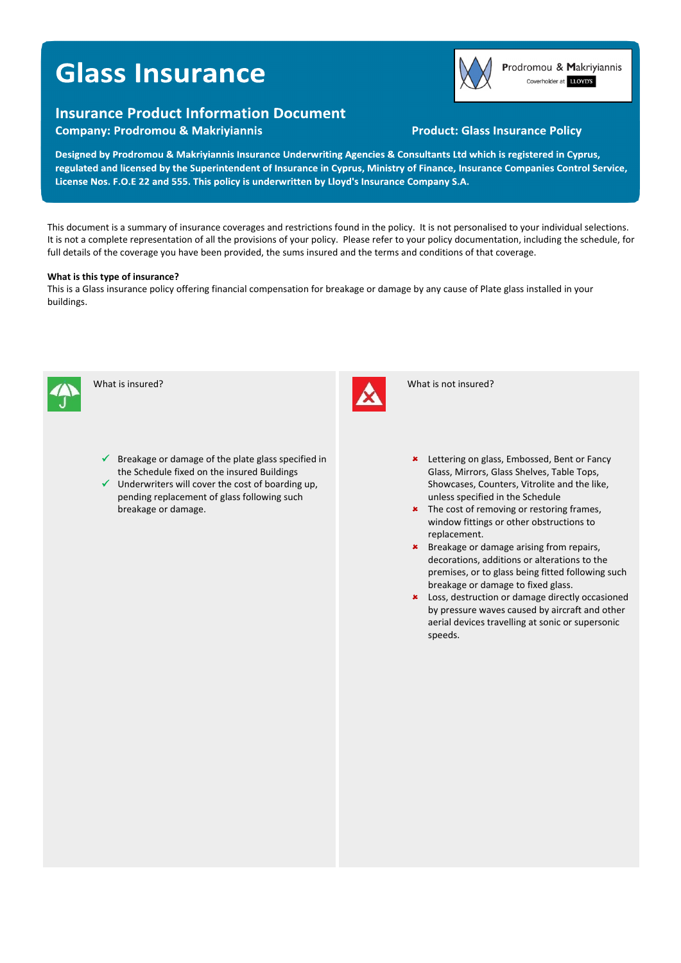# **Glass Insurance**

# **Insurance Product Information Document**

**Company: Prodromou & Makriyiannis** 

# **Product: Glass Insurance Policy**

Prodromou & Makriyiannis Coverholder at LLOYD'S

Designed by Prodromou & Makriyiannis Insurance Underwriting Agencies & Consultants Ltd which is registered in Cyprus, regulated and licensed by the Superintendent of Insurance in Cyprus, Ministry of Finance, Insurance Companies Control Service, License Nos. F.O.E 22 and 555. This policy is underwritten by Lloyd's Insurance Company S.A.

This document is a summary of insurance coverages and restrictions found in the policy. It is not personalised to your individual selections. It is not a complete representation of all the provisions of your policy. Please refer to your policy documentation, including the schedule, for full details of the coverage you have been provided, the sums insured and the terms and conditions of that coverage.

## **What is this type of insurance?**

This is a Glass insurance policy offering financial compensation for breakage or damage by any cause of Plate glass installed in your buildings.



What is insured?



 $\checkmark$  Underwriters will cover the cost of boarding up, pending replacement of glass following such breakage or damage.



What is not insured?

- **\*** Lettering on glass, Embossed, Bent or Fancy Glass, Mirrors, Glass Shelves, Table Tops, Showcases, Counters, Vitrolite and the like, unless specified in the Schedule
- \* The cost of removing or restoring frames, window fittings or other obstructions to replacement.
- **\*** Breakage or damage arising from repairs, decorations, additions or alterations to the premises, or to glass being fitted following such breakage or damage to fixed glass.
- **\*** Loss, destruction or damage directly occasioned by pressure waves caused by aircraft and other aerial devices travelling at sonic or supersonic speeds.